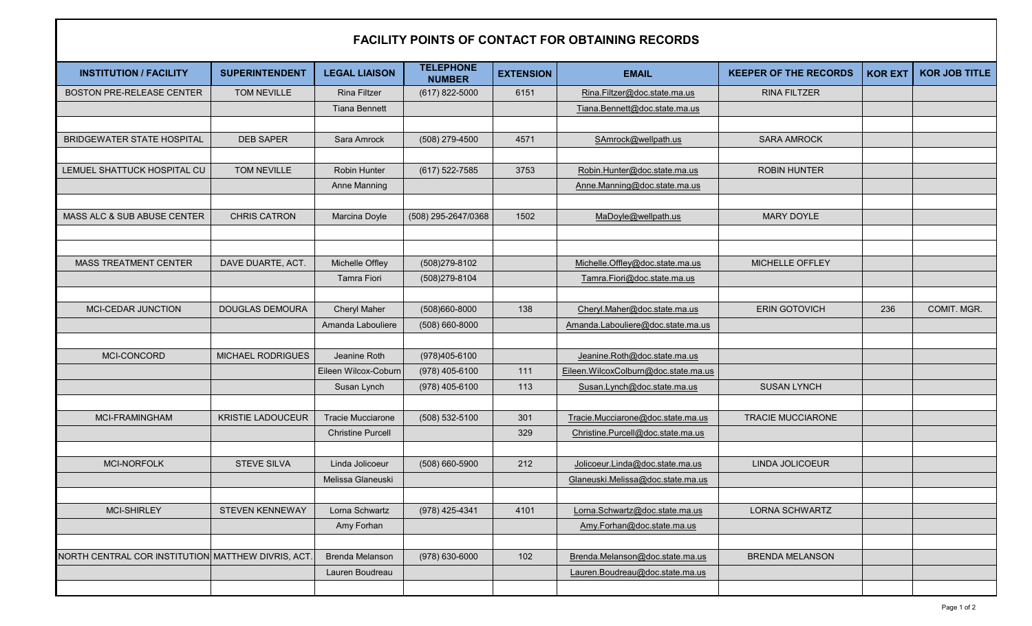## **FACILITY POINTS OF CONTACT FOR OBTAINING RECORDS**

| <b>INSTITUTION / FACILITY</b>                     | <b>SUPERINTENDENT</b>    | <b>LEGAL LIAISON</b>     | <b>TELEPHONE</b><br><b>NUMBER</b> | <b>EXTENSION</b> | <b>EMAIL</b>                           | <b>KEEPER OF THE RECORDS</b> | <b>KOR EXT</b> | <b>KOR JOB TITLE</b> |
|---------------------------------------------------|--------------------------|--------------------------|-----------------------------------|------------------|----------------------------------------|------------------------------|----------------|----------------------|
| <b>BOSTON PRE-RELEASE CENTER</b>                  | TOM NEVILLE              | <b>Rina Filtzer</b>      | (617) 822-5000                    | 6151             | Rina.Filtzer@doc.state.ma.us           | <b>RINA FILTZER</b>          |                |                      |
|                                                   |                          | <b>Tiana Bennett</b>     |                                   |                  | Tiana.Bennett@doc.state.ma.us          |                              |                |                      |
|                                                   |                          |                          |                                   |                  |                                        |                              |                |                      |
| <b>BRIDGEWATER STATE HOSPITAL</b>                 | <b>DEB SAPER</b>         | Sara Amrock              | (508) 279-4500                    | 4571             | SAmrock@wellpath.us                    | <b>SARA AMROCK</b>           |                |                      |
|                                                   |                          |                          |                                   |                  |                                        |                              |                |                      |
| LEMUEL SHATTUCK HOSPITAL CU                       | TOM NEVILLE              | Robin Hunter             | $(617) 522 - 7585$                | 3753             | Robin.Hunter@doc.state.ma.us           | <b>ROBIN HUNTER</b>          |                |                      |
|                                                   |                          | <b>Anne Manning</b>      |                                   |                  | Anne.Manning@doc.state.ma.us           |                              |                |                      |
|                                                   |                          |                          |                                   |                  |                                        |                              |                |                      |
| MASS ALC & SUB ABUSE CENTER                       | <b>CHRIS CATRON</b>      | Marcina Doyle            | (508) 295-2647/0368               | 1502             | MaDoyle@wellpath.us                    | <b>MARY DOYLE</b>            |                |                      |
|                                                   |                          |                          |                                   |                  |                                        |                              |                |                      |
|                                                   |                          |                          |                                   |                  |                                        |                              |                |                      |
| <b>MASS TREATMENT CENTER</b>                      | DAVE DUARTE, ACT.        | Michelle Offley          | (508)279-8102                     |                  | Michelle.Offley@doc.state.ma.us        | MICHELLE OFFLEY              |                |                      |
|                                                   |                          | <b>Tamra Fiori</b>       | (508)279-8104                     |                  | Tamra.Fiori@doc.state.ma.us            |                              |                |                      |
|                                                   |                          |                          |                                   |                  |                                        |                              |                |                      |
| MCI-CEDAR JUNCTION                                | <b>DOUGLAS DEMOURA</b>   | <b>Cheryl Maher</b>      | (508)660-8000                     | 138              | Cheryl.Maher@doc.state.ma.us           | <b>ERIN GOTOVICH</b>         | 236            | COMIT. MGR.          |
|                                                   |                          | Amanda Labouliere        | $(508) 660 - 8000$                |                  | Amanda.Labouliere@doc.state.ma.us      |                              |                |                      |
|                                                   |                          |                          |                                   |                  |                                        |                              |                |                      |
| MCI-CONCORD                                       | MICHAEL RODRIGUES        | Jeanine Roth             | (978)405-6100                     |                  | Jeanine.Roth@doc.state.ma.us           |                              |                |                      |
|                                                   |                          | Eileen Wilcox-Coburn     | (978) 405-6100                    | 111              | Eileen. Wilcox Colburn@doc.state.ma.us |                              |                |                      |
|                                                   |                          | Susan Lynch              | (978) 405-6100                    | 113              | Susan.Lynch@doc.state.ma.us            | <b>SUSAN LYNCH</b>           |                |                      |
|                                                   |                          |                          |                                   |                  |                                        |                              |                |                      |
| MCI-FRAMINGHAM                                    | <b>KRISTIE LADOUCEUR</b> | <b>Tracie Mucciarone</b> | $(508) 532 - 5100$                | 301              | Tracie.Mucciarone@doc.state.ma.us      | <b>TRACIE MUCCIARONE</b>     |                |                      |
|                                                   |                          | <b>Christine Purcell</b> |                                   | 329              | Christine.Purcell@doc.state.ma.us      |                              |                |                      |
|                                                   |                          |                          |                                   |                  |                                        |                              |                |                      |
| MCI-NORFOLK                                       | <b>STEVE SILVA</b>       | Linda Jolicoeur          | $(508) 660 - 5900$                | 212              | Jolicoeur.Linda@doc.state.ma.us        | LINDA JOLICOEUR              |                |                      |
|                                                   |                          | Melissa Glaneuski        |                                   |                  | Glaneuski.Melissa@doc.state.ma.us      |                              |                |                      |
|                                                   |                          |                          |                                   |                  |                                        |                              |                |                      |
| <b>MCI-SHIRLEY</b>                                | <b>STEVEN KENNEWAY</b>   | Lorna Schwartz           | (978) 425-4341                    | 4101             | Lorna.Schwartz@doc.state.ma.us         | <b>LORNA SCHWARTZ</b>        |                |                      |
|                                                   |                          | Amy Forhan               |                                   |                  | Amy.Forhan@doc.state.ma.us             |                              |                |                      |
|                                                   |                          |                          |                                   |                  |                                        |                              |                |                      |
| NORTH CENTRAL COR INSTITUTION MATTHEW DIVRIS, ACT |                          | <b>Brenda Melanson</b>   | $(978) 630 - 6000$                | 102              | Brenda.Melanson@doc.state.ma.us        | <b>BRENDA MELANSON</b>       |                |                      |
|                                                   |                          | Lauren Boudreau          |                                   |                  | Lauren.Boudreau@doc.state.ma.us        |                              |                |                      |
|                                                   |                          |                          |                                   |                  |                                        |                              |                |                      |